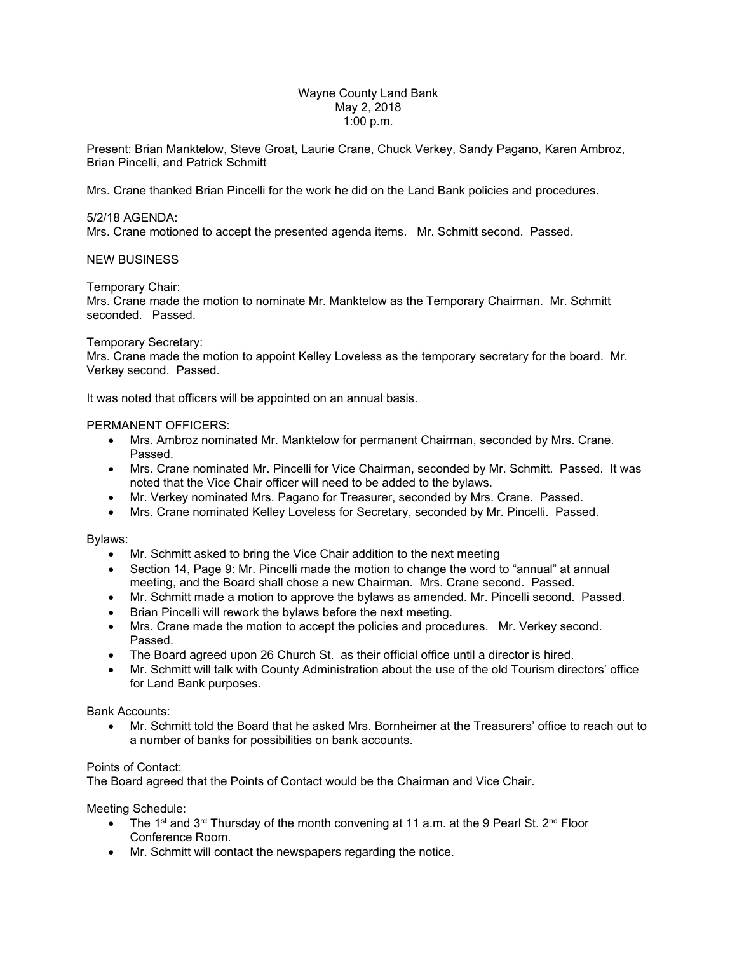### Wayne County Land Bank May 2, 2018 1:00 p.m.

Present: Brian Manktelow, Steve Groat, Laurie Crane, Chuck Verkey, Sandy Pagano, Karen Ambroz, Brian Pincelli, and Patrick Schmitt

Mrs. Crane thanked Brian Pincelli for the work he did on the Land Bank policies and procedures.

# 5/2/18 AGENDA:

Mrs. Crane motioned to accept the presented agenda items. Mr. Schmitt second. Passed.

# NEW BUSINESS

Temporary Chair:

Mrs. Crane made the motion to nominate Mr. Manktelow as the Temporary Chairman. Mr. Schmitt seconded. Passed.

### Temporary Secretary:

Mrs. Crane made the motion to appoint Kelley Loveless as the temporary secretary for the board. Mr. Verkey second. Passed.

It was noted that officers will be appointed on an annual basis.

### PERMANENT OFFICERS:

- Mrs. Ambroz nominated Mr. Manktelow for permanent Chairman, seconded by Mrs. Crane. Passed.
- Mrs. Crane nominated Mr. Pincelli for Vice Chairman, seconded by Mr. Schmitt. Passed. It was noted that the Vice Chair officer will need to be added to the bylaws.
- Mr. Verkey nominated Mrs. Pagano for Treasurer, seconded by Mrs. Crane. Passed.
- Mrs. Crane nominated Kelley Loveless for Secretary, seconded by Mr. Pincelli. Passed.

### Bylaws:

- Mr. Schmitt asked to bring the Vice Chair addition to the next meeting
- Section 14, Page 9: Mr. Pincelli made the motion to change the word to "annual" at annual meeting, and the Board shall chose a new Chairman. Mrs. Crane second. Passed.
- Mr. Schmitt made a motion to approve the bylaws as amended. Mr. Pincelli second. Passed.
- Brian Pincelli will rework the bylaws before the next meeting.
- Mrs. Crane made the motion to accept the policies and procedures. Mr. Verkey second. Passed.
- The Board agreed upon 26 Church St. as their official office until a director is hired.
- Mr. Schmitt will talk with County Administration about the use of the old Tourism directors' office for Land Bank purposes.

### Bank Accounts:

 Mr. Schmitt told the Board that he asked Mrs. Bornheimer at the Treasurers' office to reach out to a number of banks for possibilities on bank accounts.

### Points of Contact:

The Board agreed that the Points of Contact would be the Chairman and Vice Chair.

Meeting Schedule:

- The 1<sup>st</sup> and 3<sup>rd</sup> Thursday of the month convening at 11 a.m. at the 9 Pearl St. 2<sup>nd</sup> Floor Conference Room.
- Mr. Schmitt will contact the newspapers regarding the notice.